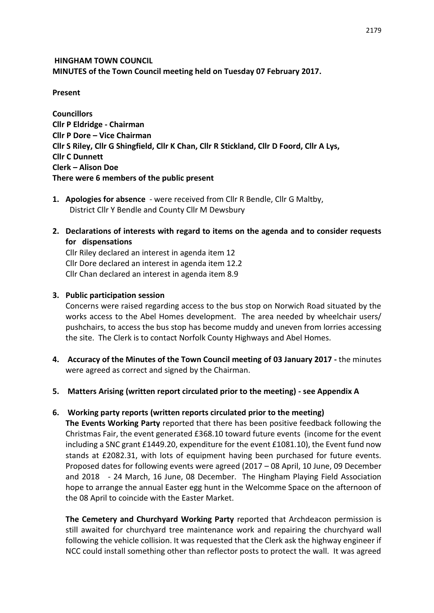**HINGHAM TOWN COUNCIL MINUTES of the Town Council meeting held on Tuesday 07 February 2017.**

**Present**

**Councillors Cllr P Eldridge - Chairman Cllr P Dore – Vice Chairman Cllr S Riley, Cllr G Shingfield, Cllr K Chan, Cllr R Stickland, Cllr D Foord, Cllr A Lys, Cllr C Dunnett Clerk – Alison Doe There were 6 members of the public present**

- **1. Apologies for absence**  were received from Cllr R Bendle, Cllr G Maltby, District Cllr Y Bendle and County Cllr M Dewsbury
- **2. Declarations of interests with regard to items on the agenda and to consider requests for dispensations**

Cllr Riley declared an interest in agenda item 12 Cllr Dore declared an interest in agenda item 12.2 Cllr Chan declared an interest in agenda item 8.9

#### **3. Public participation session**

Concerns were raised regarding access to the bus stop on Norwich Road situated by the works access to the Abel Homes development. The area needed by wheelchair users/ pushchairs, to access the bus stop has become muddy and uneven from lorries accessing the site. The Clerk is to contact Norfolk County Highways and Abel Homes.

**4. Accuracy of the Minutes of the Town Council meeting of 03 January 2017 -** the minutes were agreed as correct and signed by the Chairman.

#### **5. Matters Arising (written report circulated prior to the meeting) - see Appendix A**

#### **6. Working party reports (written reports circulated prior to the meeting)**

**The Events Working Party** reported that there has been positive feedback following the Christmas Fair, the event generated £368.10 toward future events (income for the event including a SNC grant £1449.20, expenditure for the event £1081.10), the Event fund now stands at £2082.31, with lots of equipment having been purchased for future events. Proposed dates for following events were agreed (2017 – 08 April, 10 June, 09 December and 2018 - 24 March, 16 June, 08 December. The Hingham Playing Field Association hope to arrange the annual Easter egg hunt in the Welcomme Space on the afternoon of the 08 April to coincide with the Easter Market.

**The Cemetery and Churchyard Working Party** reported that Archdeacon permission is still awaited for churchyard tree maintenance work and repairing the churchyard wall following the vehicle collision. It was requested that the Clerk ask the highway engineer if NCC could install something other than reflector posts to protect the wall. It was agreed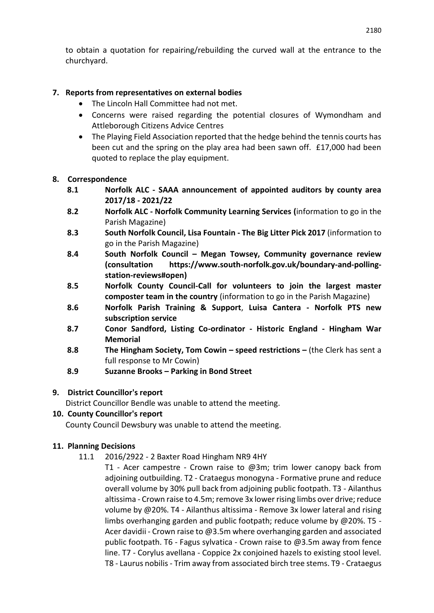to obtain a quotation for repairing/rebuilding the curved wall at the entrance to the churchyard.

# **7. Reports from representatives on external bodies**

- The Lincoln Hall Committee had not met.
- Concerns were raised regarding the potential closures of Wymondham and Attleborough Citizens Advice Centres
- The Playing Field Association reported that the hedge behind the tennis courts has been cut and the spring on the play area had been sawn off. £17,000 had been quoted to replace the play equipment.

#### **8. Correspondence**

- **8.1 Norfolk ALC - SAAA announcement of appointed auditors by county area 2017/18 - 2021/22**
- **8.2 Norfolk ALC - Norfolk Community Learning Services (**information to go in the Parish Magazine)
- **8.3 South Norfolk Council, Lisa Fountain - The Big Litter Pick 2017** (information to go in the Parish Magazine)
- **8.4 South Norfolk Council – Megan Towsey, Community governance review (consultation https://www.south-norfolk.gov.uk/boundary-and-pollingstation-reviews#open)**
- **8.5 Norfolk County Council-Call for volunteers to join the largest master composter team in the country** (information to go in the Parish Magazine)
- **8.6 Norfolk Parish Training & Support**, **Luisa Cantera - Norfolk PTS new subscription service**
- **8.7 Conor Sandford, Listing Co-ordinator - Historic England - Hingham War Memorial**
- **8.8 The Hingham Society, Tom Cowin speed restrictions –** (the Clerk has sent a full response to Mr Cowin)
- **8.9 Suzanne Brooks – Parking in Bond Street**

#### **9. District Councillor's report**

District Councillor Bendle was unable to attend the meeting.

# **10. County Councillor's report**

County Council Dewsbury was unable to attend the meeting.

# **11. Planning Decisions**

- 11.1 2016/2922 2 Baxter Road Hingham NR9 4HY
	- T1 Acer campestre Crown raise to  $\omega$ 3m; trim lower canopy back from adjoining outbuilding. T2 - Crataegus monogyna - Formative prune and reduce overall volume by 30% pull back from adjoining public footpath. T3 - Ailanthus altissima - Crown raise to 4.5m; remove 3x lower rising limbs over drive; reduce volume by @20%. T4 - Ailanthus altissima - Remove 3x lower lateral and rising limbs overhanging garden and public footpath; reduce volume by @20%. T5 - Acer davidii - Crown raise to @3.5m where overhanging garden and associated public footpath. T6 - Fagus sylvatica - Crown raise to @3.5m away from fence line. T7 - Corylus avellana - Coppice 2x conjoined hazels to existing stool level. T8 - Laurus nobilis - Trim away from associated birch tree stems. T9 - Crataegus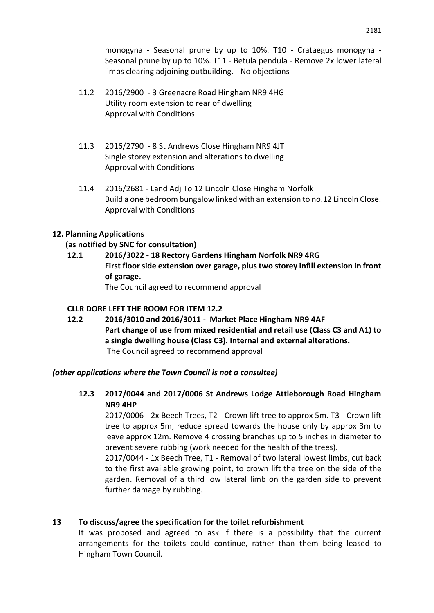monogyna - Seasonal prune by up to 10%. T10 - Crataegus monogyna - Seasonal prune by up to 10%. T11 - Betula pendula - Remove 2x lower lateral limbs clearing adjoining outbuilding. - No objections

- 11.2 2016/2900 3 Greenacre Road Hingham NR9 4HG Utility room extension to rear of dwelling Approval with Conditions
- 11.3 2016/2790 8 St Andrews Close Hingham NR9 4JT Single storey extension and alterations to dwelling Approval with Conditions
- 11.4 2016/2681 Land Adj To 12 Lincoln Close Hingham Norfolk Build a one bedroom bungalow linked with an extension to no.12 Lincoln Close. Approval with Conditions

#### **12. Planning Applications**

#### **(as notified by SNC for consultation)**

**12.1 2016/3022 - 18 Rectory Gardens Hingham Norfolk NR9 4RG First floor side extension over garage, plus two storey infill extension in front of garage.**  The Council agreed to recommend approval

#### **CLLR DORE LEFT THE ROOM FOR ITEM 12.2**

**12.2 2016/3010 and 2016/3011 - Market Place Hingham NR9 4AF Part change of use from mixed residential and retail use (Class C3 and A1) to a single dwelling house (Class C3). Internal and external alterations.**  The Council agreed to recommend approval

#### *(other applications where the Town Council is not a consultee)*

**12.3 2017/0044 and 2017/0006 St Andrews Lodge Attleborough Road Hingham NR9 4HP**

2017/0006 - 2x Beech Trees, T2 - Crown lift tree to approx 5m. T3 - Crown lift tree to approx 5m, reduce spread towards the house only by approx 3m to leave approx 12m. Remove 4 crossing branches up to 5 inches in diameter to prevent severe rubbing (work needed for the health of the trees).

2017/0044 - 1x Beech Tree, T1 - Removal of two lateral lowest limbs, cut back to the first available growing point, to crown lift the tree on the side of the garden. Removal of a third low lateral limb on the garden side to prevent further damage by rubbing.

#### **13 To discuss/agree the specification for the toilet refurbishment**

It was proposed and agreed to ask if there is a possibility that the current arrangements for the toilets could continue, rather than them being leased to Hingham Town Council.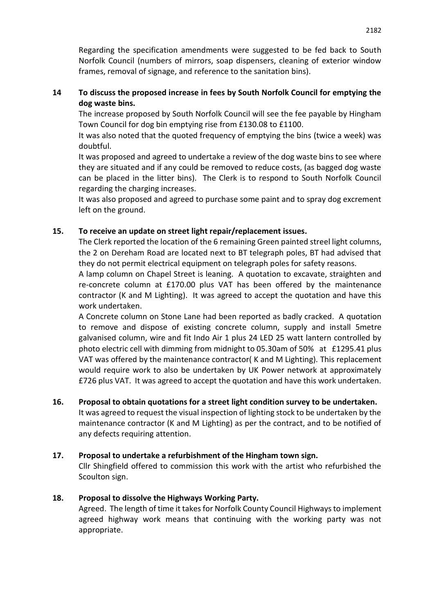Regarding the specification amendments were suggested to be fed back to South Norfolk Council (numbers of mirrors, soap dispensers, cleaning of exterior window frames, removal of signage, and reference to the sanitation bins).

## **14 To discuss the proposed increase in fees by South Norfolk Council for emptying the dog waste bins.**

The increase proposed by South Norfolk Council will see the fee payable by Hingham Town Council for dog bin emptying rise from £130.08 to £1100.

It was also noted that the quoted frequency of emptying the bins (twice a week) was doubtful.

It was proposed and agreed to undertake a review of the dog waste bins to see where they are situated and if any could be removed to reduce costs, (as bagged dog waste can be placed in the litter bins). The Clerk is to respond to South Norfolk Council regarding the charging increases.

It was also proposed and agreed to purchase some paint and to spray dog excrement left on the ground.

# **15. To receive an update on street light repair/replacement issues.**

The Clerk reported the location of the 6 remaining Green painted streel light columns, the 2 on Dereham Road are located next to BT telegraph poles, BT had advised that they do not permit electrical equipment on telegraph poles for safety reasons.

A lamp column on Chapel Street is leaning. A quotation to excavate, straighten and re-concrete column at £170.00 plus VAT has been offered by the maintenance contractor (K and M Lighting). It was agreed to accept the quotation and have this work undertaken.

A Concrete column on Stone Lane had been reported as badly cracked. A quotation to remove and dispose of existing concrete column, supply and install 5metre galvanised column, wire and fit Indo Air 1 plus 24 LED 25 watt lantern controlled by photo electric cell with dimming from midnight to 05.30am of 50% at £1295.41 plus VAT was offered by the maintenance contractor( K and M Lighting). This replacement would require work to also be undertaken by UK Power network at approximately £726 plus VAT. It was agreed to accept the quotation and have this work undertaken.

#### **16. Proposal to obtain quotations for a street light condition survey to be undertaken.**

It was agreed to request the visual inspection of lighting stock to be undertaken by the maintenance contractor (K and M Lighting) as per the contract, and to be notified of any defects requiring attention.

#### **17. Proposal to undertake a refurbishment of the Hingham town sign.**

Cllr Shingfield offered to commission this work with the artist who refurbished the Scoulton sign.

#### **18. Proposal to dissolve the Highways Working Party.**

Agreed. The length of time it takes for Norfolk County Council Highways to implement agreed highway work means that continuing with the working party was not appropriate.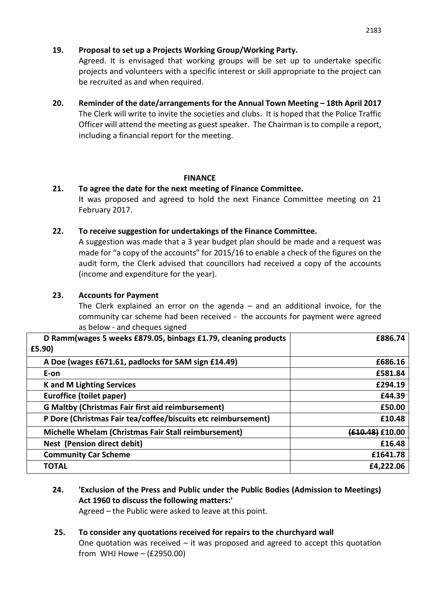# **19. Proposal to set up a Projects Working Group/Working Party.**

Agreed. It is envisaged that working groups will be set up to undertake specific projects and volunteers with a specific interest or skill appropriate to the project can be recruited as and when required.

**20. Reminder of the date/arrangements for the Annual Town Meeting – 18th April 2017** The Clerk will write to invite the societies and clubs. It is hoped that the Police Traffic Officer will attend the meeting as guest speaker. The Chairman is to compile a report, including a financial report for the meeting.

# **FINANCE**

# **21. To agree the date for the next meeting of Finance Committee.**

It was proposed and agreed to hold the next Finance Committee meeting on 21 February 2017.

#### **22. To receive suggestion for undertakings of the Finance Committee.**

A suggestion was made that a 3 year budget plan should be made and a request was made for "a copy of the accounts" for 2015/16 to enable a check of the figures on the audit form, the Clerk advised that councillors had received a copy of the accounts (income and expenditure for the year).

# **23. Accounts for Payment**

The Clerk explained an error on the agenda – and an additional invoice, for the community car scheme had been received - the accounts for payment were agreed as below - and cheques signed

| D Ramm(wages 5 weeks £879.05, binbags £1.79, cleaning products<br>£5.90) | £886.74         |
|--------------------------------------------------------------------------|-----------------|
| A Doe (wages £671.61, padlocks for SAM sign £14.49)                      | £686.16         |
| E-on                                                                     | £581.84         |
| <b>K</b> and M Lighting Services                                         | £294.19         |
| Euroffice (toilet paper)                                                 | £44.39          |
| <b>G Maltby (Christmas Fair first aid reimbursement)</b>                 | £50.00          |
| P Dore (Christmas Fair tea/coffee/biscuits etc reimbursement)            | £10.48          |
| Michelle Whelam (Christmas Fair Stall reimbursement)                     | (£10.48) £10.00 |
| Nest (Pension direct debit)                                              | £16.48          |
| <b>Community Car Scheme</b>                                              | £1641.78        |
| <b>TOTAL</b>                                                             | £4,222.06       |

# **24. 'Exclusion of the Press and Public under the Public Bodies (Admission to Meetings) Act 1960 to discuss the following matters:'**

Agreed – the Public were asked to leave at this point.

#### **25. To consider any quotations received for repairs to the churchyard wall** One quotation was received  $-$  it was proposed and agreed to accept this quotation from WHJ Howe – (£2950.00)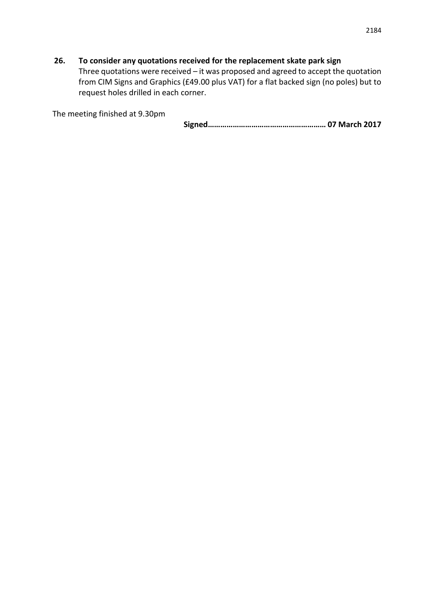# **26. To consider any quotations received for the replacement skate park sign**

Three quotations were received – it was proposed and agreed to accept the quotation from CIM Signs and Graphics (£49.00 plus VAT) for a flat backed sign (no poles) but to request holes drilled in each corner.

The meeting finished at 9.30pm

**Signed………………………………………………… 07 March 2017**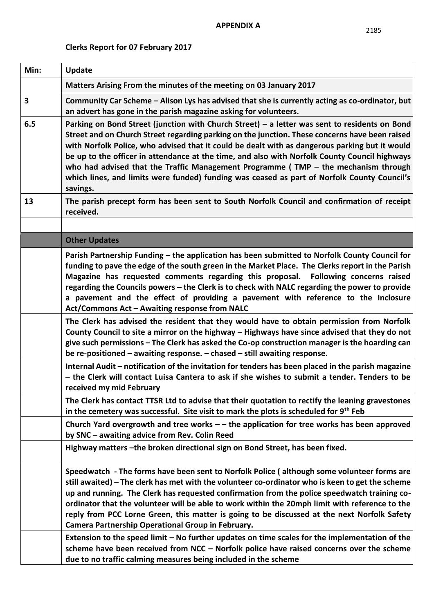# **Clerks Report for 07 February 2017**

| Min: | <b>Update</b>                                                                                                                                                                                                                                                                                                                                                                                                                                                                                                                                                                                                                                                                                                                                                                                                         |  |
|------|-----------------------------------------------------------------------------------------------------------------------------------------------------------------------------------------------------------------------------------------------------------------------------------------------------------------------------------------------------------------------------------------------------------------------------------------------------------------------------------------------------------------------------------------------------------------------------------------------------------------------------------------------------------------------------------------------------------------------------------------------------------------------------------------------------------------------|--|
|      | Matters Arising From the minutes of the meeting on 03 January 2017                                                                                                                                                                                                                                                                                                                                                                                                                                                                                                                                                                                                                                                                                                                                                    |  |
| 3    | Community Car Scheme - Alison Lys has advised that she is currently acting as co-ordinator, but<br>an advert has gone in the parish magazine asking for volunteers.                                                                                                                                                                                                                                                                                                                                                                                                                                                                                                                                                                                                                                                   |  |
| 6.5  | Parking on Bond Street (junction with Church Street) – a letter was sent to residents on Bond<br>Street and on Church Street regarding parking on the junction. These concerns have been raised<br>with Norfolk Police, who advised that it could be dealt with as dangerous parking but it would<br>be up to the officer in attendance at the time, and also with Norfolk County Council highways<br>who had advised that the Traffic Management Programme ( $TMP -$ the mechanism through<br>which lines, and limits were funded) funding was ceased as part of Norfolk County Council's<br>savings.                                                                                                                                                                                                                |  |
| 13   | The parish precept form has been sent to South Norfolk Council and confirmation of receipt<br>received.                                                                                                                                                                                                                                                                                                                                                                                                                                                                                                                                                                                                                                                                                                               |  |
|      |                                                                                                                                                                                                                                                                                                                                                                                                                                                                                                                                                                                                                                                                                                                                                                                                                       |  |
|      | <b>Other Updates</b>                                                                                                                                                                                                                                                                                                                                                                                                                                                                                                                                                                                                                                                                                                                                                                                                  |  |
|      | Parish Partnership Funding - the application has been submitted to Norfolk County Council for<br>funding to pave the edge of the south green in the Market Place. The Clerks report in the Parish<br>Magazine has requested comments regarding this proposal. Following concerns raised<br>regarding the Councils powers - the Clerk is to check with NALC regarding the power to provide<br>a pavement and the effect of providing a pavement with reference to the Inclosure<br>Act/Commons Act - Awaiting response from NALC                                                                                                                                                                                                                                                                                       |  |
|      | The Clerk has advised the resident that they would have to obtain permission from Norfolk<br>County Council to site a mirror on the highway - Highways have since advised that they do not<br>give such permissions - The Clerk has asked the Co-op construction manager is the hoarding can<br>be re-positioned - awaiting response. - chased - still awaiting response.                                                                                                                                                                                                                                                                                                                                                                                                                                             |  |
|      | Internal Audit - notification of the invitation for tenders has been placed in the parish magazine<br>- the Clerk will contact Luisa Cantera to ask if she wishes to submit a tender. Tenders to be<br>received my mid February                                                                                                                                                                                                                                                                                                                                                                                                                                                                                                                                                                                       |  |
|      | The Clerk has contact TTSR Ltd to advise that their quotation to rectify the leaning gravestones<br>in the cemetery was successful. Site visit to mark the plots is scheduled for 9 <sup>th</sup> Feb                                                                                                                                                                                                                                                                                                                                                                                                                                                                                                                                                                                                                 |  |
|      | Church Yard overgrowth and tree works $-$ the application for tree works has been approved<br>by SNC - awaiting advice from Rev. Colin Reed                                                                                                                                                                                                                                                                                                                                                                                                                                                                                                                                                                                                                                                                           |  |
|      | Highway matters -the broken directional sign on Bond Street, has been fixed.                                                                                                                                                                                                                                                                                                                                                                                                                                                                                                                                                                                                                                                                                                                                          |  |
|      | Speedwatch - The forms have been sent to Norfolk Police (although some volunteer forms are<br>still awaited) – The clerk has met with the volunteer co-ordinator who is keen to get the scheme<br>up and running. The Clerk has requested confirmation from the police speedwatch training co-<br>ordinator that the volunteer will be able to work within the 20mph limit with reference to the<br>reply from PCC Lorne Green, this matter is going to be discussed at the next Norfolk Safety<br>Camera Partnership Operational Group in February.<br>Extension to the speed limit – No further updates on time scales for the implementation of the<br>scheme have been received from NCC - Norfolk police have raised concerns over the scheme<br>due to no traffic calming measures being included in the scheme |  |